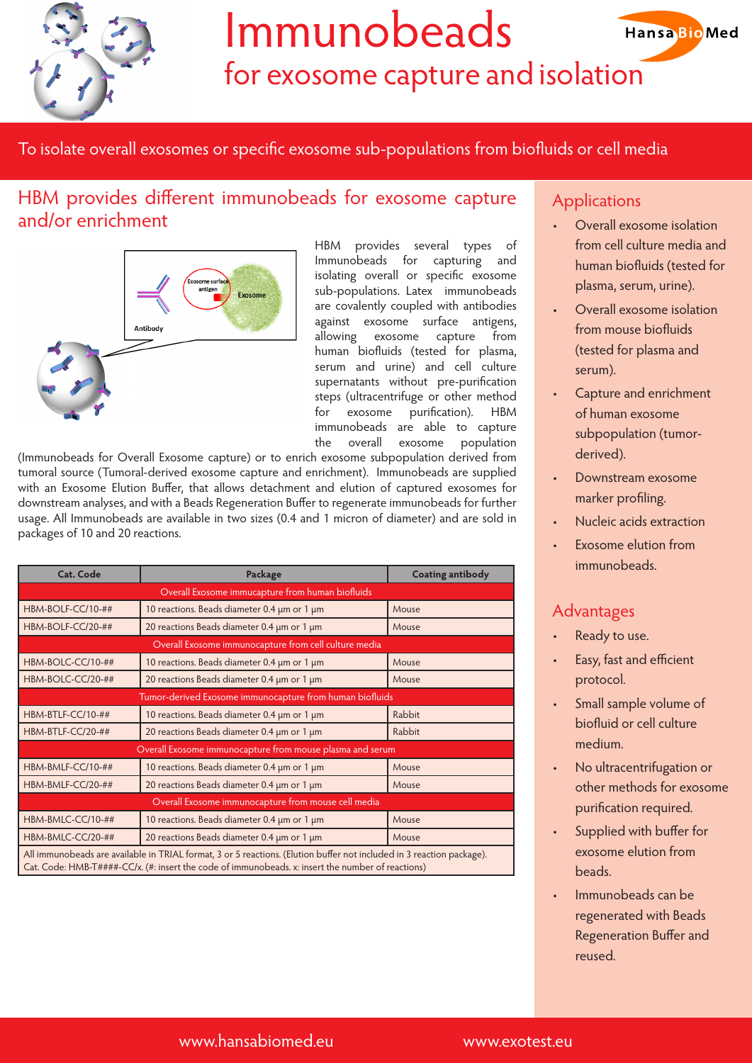

# Immunobeads

for exosome capture and isolation

To isolate overall exosomes or specific exosome sub-populations from biofluids or cell media

### HBM provides different immunobeads for exosome capture and/or enrichment



HBM provides several types of Immunobeads for capturing and isolating overall or specific exosome sub-populations. Latex immunobeads are covalently coupled with antibodies against exosome surface antigens, allowing exosome capture from human biofluids (tested for plasma, serum and urine) and cell culture supernatants without pre-purification steps (ultracentrifuge or other method for exosome purification). HBM immunobeads are able to capture the overall exosome population

(Immunobeads for Overall Exosome capture) or to enrich exosome subpopulation derived from tumoral source (Tumoral-derived exosome capture and enrichment). Immunobeads are supplied with an Exosome Elution Buffer, that allows detachment and elution of captured exosomes for downstream analyses, and with a Beads Regeneration Buffer to regenerate immunobeads for further usage. All Immunobeads are available in two sizes (0.4 and 1 micron of diameter) and are sold in packages of 10 and 20 reactions.

| <b>Cat. Code</b>                                                                                                                                                                                                           | Package                                     | <b>Coating antibody</b> |
|----------------------------------------------------------------------------------------------------------------------------------------------------------------------------------------------------------------------------|---------------------------------------------|-------------------------|
| Overall Exosome immucapture from human biofluids                                                                                                                                                                           |                                             |                         |
| HBM-BOLF-CC/10-##                                                                                                                                                                                                          | 10 reactions. Beads diameter 0.4 µm or 1 µm | Mouse                   |
| HBM-BOLF-CC/20-##                                                                                                                                                                                                          | 20 reactions Beads diameter 0.4 um or 1 um  | Mouse                   |
| Overall Exosome immunocapture from cell culture media                                                                                                                                                                      |                                             |                         |
| HBM-BOLC-CC/10-##                                                                                                                                                                                                          | 10 reactions. Beads diameter 0.4 µm or 1 µm | Mouse                   |
| HBM-BOLC-CC/20-##                                                                                                                                                                                                          | 20 reactions Beads diameter 0.4 µm or 1 µm  | Mouse                   |
| Tumor-derived Exosome immunocapture from human biofluids                                                                                                                                                                   |                                             |                         |
| HBM-BTLF-CC/10-##                                                                                                                                                                                                          | 10 reactions. Beads diameter 0.4 µm or 1 µm | Rabbit                  |
| HBM-BTLF-CC/20-##                                                                                                                                                                                                          | 20 reactions Beads diameter 0.4 µm or 1 µm  | Rabbit                  |
| Overall Exosome immunocapture from mouse plasma and serum                                                                                                                                                                  |                                             |                         |
| HBM-BMLF-CC/10-##                                                                                                                                                                                                          | 10 reactions. Beads diameter 0.4 µm or 1 µm | Mouse                   |
| HBM-BMLF-CC/20-##                                                                                                                                                                                                          | 20 reactions Beads diameter 0.4 um or 1 um  | Mouse                   |
| Overall Exosome immunocapture from mouse cell media                                                                                                                                                                        |                                             |                         |
| HBM-BMLC-CC/10-##                                                                                                                                                                                                          | 10 reactions. Beads diameter 0.4 µm or 1 µm | Mouse                   |
| HBM-BMLC-CC/20-##                                                                                                                                                                                                          | 20 reactions Beads diameter 0.4 µm or 1 µm  | Mouse                   |
| All immunobeads are available in TRIAL format, 3 or 5 reactions. (Elution buffer not included in 3 reaction package).<br>Cat. Code: HMB-T####-CC/x. (#: insert the code of immunobeads. x: insert the number of reactions) |                                             |                         |

#### **Applications**

Overall exosome isolation from cell culture media and human biofluids (tested for plasma, serum, urine).

**HansaBioMed** 

- Overall exosome isolation from mouse biofluids (tested for plasma and serum).
- Capture and enrichment of human exosome subpopulation (tumorderived).
- Downstream exosome marker profiling.
- Nucleic acids extraction
- Exosome elution from immunobeads.

#### Advantages

- Ready to use.
- Easy, fast and efficient protocol.
- Small sample volume of biofluid or cell culture medium.
- No ultracentrifugation or other methods for exosome purification required.
- Supplied with buffer for exosome elution from **beads**
- Immunobeads can be regenerated with Beads Regeneration Buffer and reused.